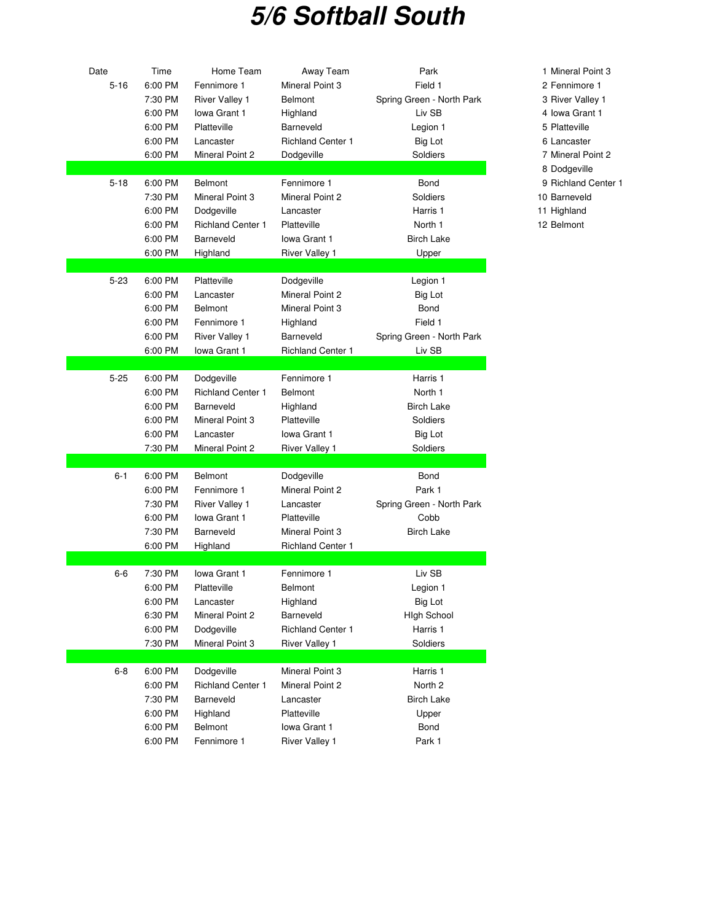## **5/6 Softball South**

| Date     | Time    | Home Team                | Away Team                | Park                      |
|----------|---------|--------------------------|--------------------------|---------------------------|
| $5 - 16$ | 6:00 PM | Fennimore 1              | <b>Mineral Point 3</b>   | Field 1                   |
|          | 7:30 PM | <b>River Valley 1</b>    | Belmont                  | Spring Green - North Park |
|          | 6:00 PM | Iowa Grant 1             | Highland                 | Liv SB                    |
|          | 6:00 PM | Platteville              | Barneveld                | Legion 1                  |
|          | 6:00 PM | Lancaster                | <b>Richland Center 1</b> | Big Lot                   |
|          | 6:00 PM | Mineral Point 2          | Dodgeville               | Soldiers                  |
|          |         |                          |                          |                           |
| $5 - 18$ | 6:00 PM | <b>Belmont</b>           | Fennimore 1              | Bond                      |
|          | 7:30 PM | Mineral Point 3          | <b>Mineral Point 2</b>   | Soldiers                  |
|          | 6:00 PM | Dodgeville               | Lancaster                | Harris 1                  |
|          | 6:00 PM | <b>Richland Center 1</b> | Platteville              | North 1                   |
|          | 6:00 PM | Barneveld                | Iowa Grant 1             | <b>Birch Lake</b>         |
|          | 6:00 PM | Highland                 | <b>River Valley 1</b>    | Upper                     |
|          |         |                          |                          |                           |
| $5 - 23$ | 6:00 PM | Platteville              | Dodgeville               | Legion 1                  |
|          | 6:00 PM | Lancaster                | <b>Mineral Point 2</b>   | Big Lot                   |
|          | 6:00 PM | <b>Belmont</b>           | Mineral Point 3          | Bond                      |
|          | 6:00 PM | Fennimore 1              | Highland                 | Field 1                   |
|          | 6:00 PM | <b>River Valley 1</b>    | Barneveld                | Spring Green - North Park |
|          | 6:00 PM | Iowa Grant 1             | <b>Richland Center 1</b> | Liv SB                    |
|          |         |                          |                          |                           |
| $5 - 25$ | 6:00 PM | Dodgeville               | Fennimore 1              | Harris 1                  |
|          | 6:00 PM | <b>Richland Center 1</b> | <b>Belmont</b>           | North 1                   |
|          | 6:00 PM | Barneveld                | Highland                 | <b>Birch Lake</b>         |
|          | 6:00 PM | Mineral Point 3          | Platteville              | Soldiers                  |
|          | 6:00 PM | Lancaster                | Iowa Grant 1             | Big Lot                   |
|          | 7:30 PM | Mineral Point 2          |                          | Soldiers                  |
|          |         |                          | <b>River Valley 1</b>    |                           |
| $6 - 1$  | 6:00 PM | <b>Belmont</b>           | Dodgeville               | Bond                      |
|          | 6:00 PM | Fennimore 1              | <b>Mineral Point 2</b>   | Park 1                    |
|          | 7:30 PM | <b>River Valley 1</b>    | Lancaster                | Spring Green - North Park |
|          | 6:00 PM | Iowa Grant 1             | Platteville              | Cobb                      |
|          | 7:30 PM | Barneveld                | Mineral Point 3          | <b>Birch Lake</b>         |
|          | 6:00 PM |                          | <b>Richland Center 1</b> |                           |
|          |         | Highland                 |                          |                           |
| $6-6$    | 7:30 PM | <b>lowa Grant 1</b>      | Fennimore 1              | Liv SB                    |
|          | 6:00 PM | Platteville              | Belmont                  | Legion 1                  |
|          | 6:00 PM | Lancaster                | Highland                 | <b>Big Lot</b>            |
|          | 6:30 PM | Mineral Point 2          | Barneveld                | <b>High School</b>        |
|          | 6:00 PM | Dodgeville               | <b>Richland Center 1</b> | Harris 1                  |
|          | 7:30 PM | Mineral Point 3          | <b>River Valley 1</b>    | Soldiers                  |
|          |         |                          |                          |                           |
| $6 - 8$  | 6:00 PM | Dodgeville               | Mineral Point 3          | Harris 1                  |
|          | 6:00 PM | <b>Richland Center 1</b> | Mineral Point 2          | North 2                   |
|          | 7:30 PM | Barneveld                | Lancaster                | <b>Birch Lake</b>         |
|          | 6:00 PM | Highland                 | Platteville              | Upper                     |
|          | 6:00 PM | <b>Belmont</b>           | Iowa Grant 1             | Bond                      |
|          | 6:00 PM | Fennimore 1              | <b>River Valley 1</b>    | Park 1                    |
|          |         |                          |                          |                           |

- 1 Mineral Point 3 2 Fennimore 1 3 River Valley 1 4 Iowa Grant 1 5 Platteville 6 Lancaster 7 Mineral Point 2
- 8 Dodgeville
- 9 Richland Center 1
- 10 Barneveld
- 11 Highland
- 12 Belmont